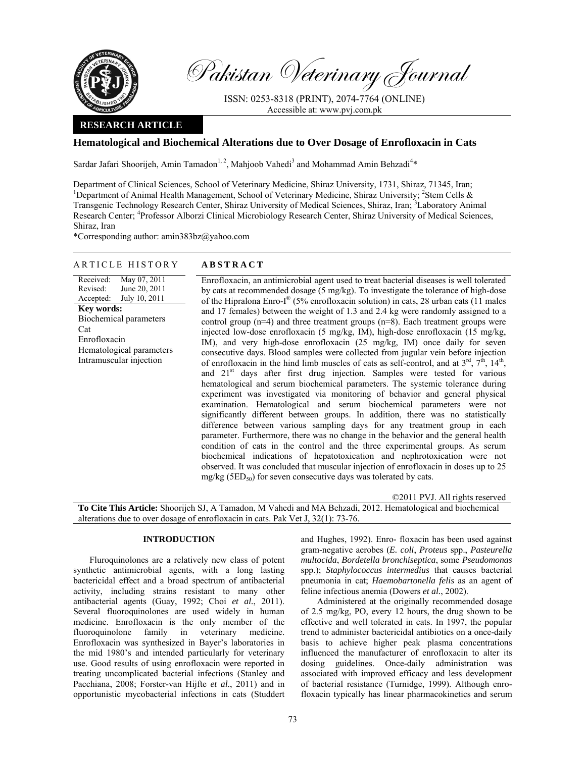

Pakistan Veterinary Journal

ISSN: 0253-8318 (PRINT), 2074-7764 (ONLINE) Accessible at: www.pvj.com.pk

# **RESEARCH ARTICLE**

# **Hematological and Biochemical Alterations due to Over Dosage of Enrofloxacin in Cats**

Sardar Jafari Shoorijeh, Amin Tamadon<sup>1, 2</sup>, Mahjoob Vahedi<sup>3</sup> and Mohammad Amin Behzadi<sup>4\*</sup>

Department of Clinical Sciences, School of Veterinary Medicine, Shiraz University, 1731, Shiraz, 71345, Iran; <sup>1</sup>Department of Animal Health Management, School of Veterinary Medicine, Shiraz University; <sup>2</sup>Stem Cells & Transgenic Technology Research Center, Shiraz University of Medical Sciences, Shiraz, Iran; <sup>3</sup>Laboratory Animal Research Center; <sup>4</sup>Professor Alborzi Clinical Microbiology Research Center, Shiraz University of Medical Sciences, Shiraz, Iran

\*Corresponding author: amin383bz@yahoo.com

# ARTICLE HISTORY **ABSTRACT**

Received: Revised: Accepted: May 07, 2011 June 20, 2011 July 10, 2011 **Key words:**  Biochemical parameters Cat Enrofloxacin Hematological parameters Intramuscular injection

Enrofloxacin, an antimicrobial agent used to treat bacterial diseases is well tolerated by cats at recommended dosage (5 mg/kg). To investigate the tolerance of high-dose of the Hipralona Enro-I® (5% enrofloxacin solution) in cats, 28 urban cats (11 males and 17 females) between the weight of 1.3 and 2.4 kg were randomly assigned to a control group  $(n=4)$  and three treatment groups  $(n=8)$ . Each treatment groups were injected low-dose enrofloxacin (5 mg/kg, IM), high-dose enrofloxacin (15 mg/kg, IM), and very high-dose enrofloxacin (25 mg/kg, IM) once daily for seven consecutive days. Blood samples were collected from jugular vein before injection of enrofloxacin in the hind limb muscles of cats as self-control, and at  $3^{rd}$ ,  $7^{th}$ ,  $14^{th}$ , and 21<sup>st</sup> days after first drug injection. Samples were tested for various hematological and serum biochemical parameters. The systemic tolerance during experiment was investigated via monitoring of behavior and general physical examination. Hematological and serum biochemical parameters were not significantly different between groups. In addition, there was no statistically difference between various sampling days for any treatment group in each parameter. Furthermore, there was no change in the behavior and the general health condition of cats in the control and the three experimental groups. As serum biochemical indications of hepatotoxication and nephrotoxication were not observed. It was concluded that muscular injection of enrofloxacin in doses up to 25  $mg/kg$  (5ED<sub>50</sub>) for seven consecutive days was tolerated by cats.

©2011 PVJ. All rights reserved

**To Cite This Article:** Shoorijeh SJ, A Tamadon, M Vahedi and MA Behzadi, 2012. Hematological and biochemical alterations due to over dosage of enrofloxacin in cats. Pak Vet J, 32(1): 73-76.

### **INTRODUCTION**

Fluroquinolones are a relatively new class of potent synthetic antimicrobial agents, with a long lasting bactericidal effect and a broad spectrum of antibacterial activity, including strains resistant to many other antibacterial agents (Guay, 1992; Choi *et al.*, 2011). Several fluoroquinolones are used widely in human medicine. Enrofloxacin is the only member of the fluoroquinolone family in veterinary medicine. Enrofloxacin was synthesized in Bayer's laboratories in the mid 1980's and intended particularly for veterinary use. Good results of using enrofloxacin were reported in treating uncomplicated bacterial infections (Stanley and Pacchiana, 2008; Forster-van Hijfte *et al.*, 2011) and in opportunistic mycobacterial infections in cats (Studdert and Hughes, 1992). Enro- floxacin has been used against gram-negative aerobes (*E. coli*, *Proteus* spp., *Pasteurella multocida*, *Bordetella bronchiseptica*, some *Pseudomonas* spp.); *Staphylococcus intermedius* that causes bacterial pneumonia in cat; *Haemobartonella felis* as an agent of feline infectious anemia (Dowers *et al.*, 2002).

Administered at the originally recommended dosage of 2.5 mg/kg, PO, every 12 hours, the drug shown to be effective and well tolerated in cats. In 1997, the popular trend to administer bactericidal antibiotics on a once-daily basis to achieve higher peak plasma concentrations influenced the manufacturer of enrofloxacin to alter its dosing guidelines. Once-daily administration was associated with improved efficacy and less development of bacterial resistance (Turnidge, 1999). Although enrofloxacin typically has linear pharmacokinetics and serum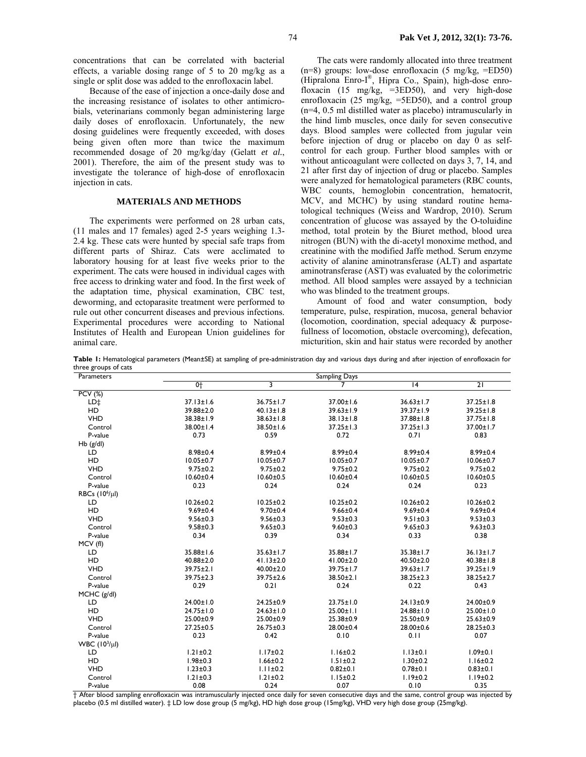concentrations that can be correlated with bacterial effects, a variable dosing range of 5 to 20 mg/kg as a single or split dose was added to the enrofloxacin label.

Because of the ease of injection a once-daily dose and the increasing resistance of isolates to other antimicrobials, veterinarians commonly began administering large daily doses of enrofloxacin. Unfortunately, the new dosing guidelines were frequently exceeded, with doses being given often more than twice the maximum recommended dosage of 20 mg/kg/day (Gelatt *et al.*, 2001). Therefore, the aim of the present study was to investigate the tolerance of high-dose of enrofloxacin injection in cats.

## **MATERIALS AND METHODS**

The experiments were performed on 28 urban cats, (11 males and 17 females) aged 2-5 years weighing 1.3- 2.4 kg. These cats were hunted by special safe traps from different parts of Shiraz. Cats were acclimated to laboratory housing for at least five weeks prior to the experiment. The cats were housed in individual cages with free access to drinking water and food. In the first week of the adaptation time, physical examination, CBC test, deworming, and ectoparasite treatment were performed to rule out other concurrent diseases and previous infections. Experimental procedures were according to National Institutes of Health and European Union guidelines for animal care.

The cats were randomly allocated into three treatment  $(n=8)$  groups: low-dose enrofloxacin  $(5 \text{ mg/kg}, \text{=ED50})$ (Hipralona Enro-I®, Hipra Co., Spain), high-dose enrofloxacin (15 mg/kg, =3ED50), and very high-dose enrofloxacin (25 mg/kg, =5ED50), and a control group (n=4, 0.5 ml distilled water as placebo) intramuscularly in the hind limb muscles, once daily for seven consecutive days. Blood samples were collected from jugular vein before injection of drug or placebo on day 0 as selfcontrol for each group. Further blood samples with or without anticoagulant were collected on days 3, 7, 14, and 21 after first day of injection of drug or placebo. Samples were analyzed for hematological parameters (RBC counts, WBC counts, hemoglobin concentration, hematocrit, MCV, and MCHC) by using standard routine hematological techniques (Weiss and Wardrop, 2010). Serum concentration of glucose was assayed by the O-toluidine method, total protein by the Biuret method, blood urea nitrogen (BUN) with the di-acetyl monoxime method, and creatinine with the modified Jaffe method. Serum enzyme activity of alanine aminotransferase (ALT) and aspartate aminotransferase (AST) was evaluated by the colorimetric method. All blood samples were assayed by a technician who was blinded to the treatment groups.

Amount of food and water consumption, body temperature, pulse, respiration, mucosa, general behavior (locomotion, coordination, special adequacy & purposefullness of locomotion, obstacle overcoming), defecation, micturition, skin and hair status were recorded by another

**Table 1:** Hematological parameters (Mean±SE) at sampling of pre-administration day and various days during and after injection of enrofloxacin for three groups of cats

| Parameters          | Sampling Days   |                 |                 |                 |                 |  |  |
|---------------------|-----------------|-----------------|-----------------|-----------------|-----------------|--|--|
|                     | $0+$            | 3               | 7               | $\overline{14}$ | $\overline{21}$ |  |  |
| $PCV$ (%)           |                 |                 |                 |                 |                 |  |  |
| LD‡                 | $37.13 \pm 1.6$ | $36.75 \pm 1.7$ | 37.00±1.6       | $36.63 \pm 1.7$ | $37.25 \pm 1.8$ |  |  |
| HD                  | 39.88±2.0       | $40.13 \pm 1.8$ | 39.63±1.9       | 39.37±1.9       | 39.25±1.8       |  |  |
| <b>VHD</b>          | 38.38±1.9       | $38.63 \pm 1.8$ | 38.13±1.8       | 37.88±1.8       | $37.75 \pm 1.8$ |  |  |
| Control             | 38.00±1.4       | 38.50±1.6       | $37.25 \pm 1.3$ | $37.25 \pm 1.3$ | 37.00±1.7       |  |  |
| P-value             | 0.73            | 0.59            | 0.72            | 0.71            | 0.83            |  |  |
| $Hb$ ( $g/dl$ )     |                 |                 |                 |                 |                 |  |  |
| LD                  | $8.98 \pm 0.4$  | $8.99 \pm 0.4$  | $8.99 \pm 0.4$  | $8.99 \pm 0.4$  | $8.99 \pm 0.4$  |  |  |
| <b>HD</b>           | $10.05 \pm 0.7$ | $10.05 \pm 0.7$ | $10.05 \pm 0.7$ | $10.05 \pm 0.7$ | $10.06 \pm 0.7$ |  |  |
| <b>VHD</b>          | $9.75 \pm 0.2$  | $9.75 \pm 0.2$  | $9.75 \pm 0.2$  | $9.75 \pm 0.2$  | $9.75 \pm 0.2$  |  |  |
| Control             | $10.60 \pm 0.4$ | $10.60 \pm 0.5$ | $10.60 + 0.4$   | $10.60 \pm 0.5$ | $10.60 \pm 0.5$ |  |  |
| P-value             | 0.23            | 0.24            | 0.24            | 0.24            | 0.23            |  |  |
| RBCs $(10^6/\mu l)$ |                 |                 |                 |                 |                 |  |  |
| LD                  | $10.26 \pm 0.2$ | $10.25 \pm 0.2$ | $10.25 \pm 0.2$ | $10.26 \pm 0.2$ | $10.26 \pm 0.2$ |  |  |
| HD                  | $9.69 \pm 0.4$  | $9.70 \pm 0.4$  | $9.66 \pm 0.4$  | $9.69 \pm 0.4$  | $9.69 \pm 0.4$  |  |  |
| <b>VHD</b>          | $9.56 \pm 0.3$  | $9.56 \pm 0.3$  | $9.53 \pm 0.3$  | $9.51 \pm 0.3$  | $9.53 \pm 0.3$  |  |  |
| Control             | $9.58 + 0.3$    | $9.65 \pm 0.3$  | $9.60 \pm 0.3$  | $9.65 \pm 0.3$  | $9.63 \pm 0.3$  |  |  |
| P-value             | 0.34            | 0.39            | 0.34            | 0.33            | 0.38            |  |  |
| MCV (fl)            |                 |                 |                 |                 |                 |  |  |
| LD                  | 35.88±1.6       | $35.63 \pm 1.7$ | 35.88±1.7       | 35.38±1.7       | $36.13 \pm 1.7$ |  |  |
| HD                  | $40.88 \pm 2.0$ | $41.13 \pm 2.0$ | 41.00±2.0       | $40.50 \pm 2.0$ | $40.38 \pm 1.8$ |  |  |
| <b>VHD</b>          | $39.75 \pm 2.1$ | $40.00 \pm 2.0$ | $39.75 \pm 1.7$ | $39.63 \pm 1.7$ | $39.25 \pm 1.9$ |  |  |
| Control             | $39.75 \pm 2.3$ | $39.75 \pm 2.6$ | 38.50±2.1       | $38.25 \pm 2.3$ | $38.25 \pm 2.7$ |  |  |
| P-value             | 0.29            | 0.21            | 0.24            | 0.22            | 0.43            |  |  |
| $MCHC$ ( $g/dl$ )   |                 |                 |                 |                 |                 |  |  |
| LD.                 | $24.00 \pm 1.0$ | 24.25±0.9       | $23.75 \pm 1.0$ | 24.13±0.9       | 24.00±0.9       |  |  |
| HD                  | $24.75 \pm 1.0$ | $24.63 \pm 1.0$ | $25.00 \pm 1.1$ | 24.88±1.0       | $25.00 \pm 1.0$ |  |  |
| <b>VHD</b>          | 25.00±0.9       | $25.00 \pm 0.9$ | 25.38±0.9       | 25.50±0.9       | $25.63 \pm 0.9$ |  |  |
| Control             | $27.25 \pm 0.5$ | $26.75 \pm 0.3$ | 28.00±0.4       | 28.00±0.6       | $28.25 \pm 0.3$ |  |  |
| P-value             | 0.23            | 0.42            | 0.10            | 0.11            | 0.07            |  |  |
| WBC $(10^3/\mu l)$  |                 |                 |                 |                 |                 |  |  |
| LD.                 | $1.21 \pm 0.2$  | $1.17 \pm 0.2$  | $1.16 \pm 0.2$  | $1.13 \pm 0.1$  | $1.09 \pm 0.1$  |  |  |
| HD                  | $1.98 \pm 0.3$  | $1.66 \pm 0.2$  | $1.51 \pm 0.2$  | $1.30 \pm 0.2$  | $1.16 \pm 0.2$  |  |  |
| <b>VHD</b>          | $1.23 \pm 0.3$  | $1.11 \pm 0.2$  | $0.82 + 0.1$    | $0.78 + 0.1$    | $0.83 + 0.1$    |  |  |
| Control             | $1.21 \pm 0.3$  | $1.21 \pm 0.2$  | $1.15 \pm 0.2$  | $1.19 \pm 0.2$  | $1.19 \pm 0.2$  |  |  |
| P-value             | 0.08            | 0.24            | 0.07            | 0.10            | 0.35            |  |  |

† After blood sampling enrofloxacin was intramuscularly injected once daily for seven consecutive days and the same, control group was injected by placebo (0.5 ml distilled water). ‡ LD low dose group (5 mg/kg), HD high dose group (15mg/kg), VHD very high dose group (25mg/kg).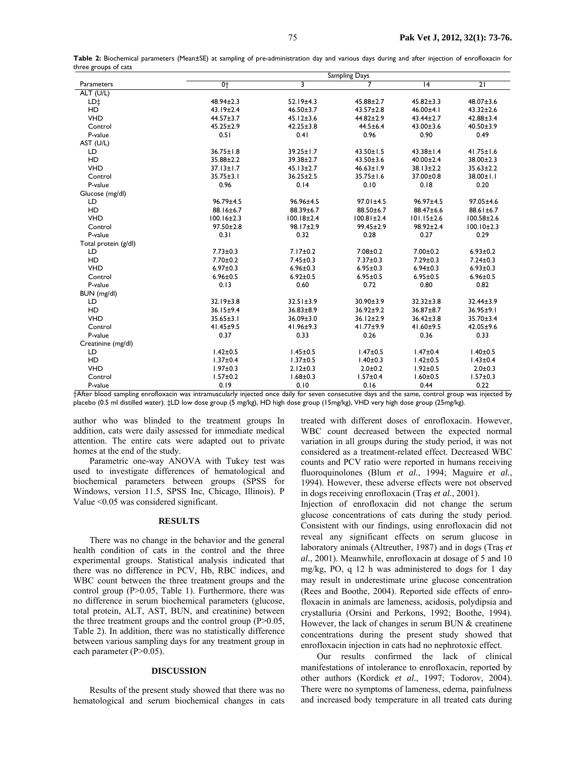|                                                                                                                                                   | Sampling Days    |                  |                  |                  |                  |  |  |
|---------------------------------------------------------------------------------------------------------------------------------------------------|------------------|------------------|------------------|------------------|------------------|--|--|
| Parameters                                                                                                                                        | 0 <sub>1</sub>   | 3                |                  | $\overline{14}$  | $\overline{21}$  |  |  |
| ALT (U/L)                                                                                                                                         |                  |                  |                  |                  |                  |  |  |
| LD‡                                                                                                                                               | 48.94±2.3        | 52.19±4.3        | $45.88 \pm 2.7$  | $45.82 \pm 3.3$  | $48.07 \pm 3.6$  |  |  |
| HD                                                                                                                                                | $43.19 \pm 2.4$  | $46.50 \pm 3.7$  | $43.57 \pm 2.8$  | $46.00 \pm 4.1$  | $43.32 \pm 2.6$  |  |  |
| <b>VHD</b>                                                                                                                                        | $44.57 \pm 3.7$  | $45.12 \pm 3.6$  | $44.82 \pm 2.9$  | $43.44 \pm 2.7$  | $42.88 \pm 3.4$  |  |  |
| Control                                                                                                                                           | $45.25 \pm 2.9$  | $42.25 \pm 3.8$  | $44.5 \pm 6.4$   | $43.00 \pm 3.6$  | $40.50 \pm 3.9$  |  |  |
| P-value                                                                                                                                           | 0.51             | 0.41             | 0.96             | 0.90             | 0.49             |  |  |
| AST (U/L)                                                                                                                                         |                  |                  |                  |                  |                  |  |  |
| LD                                                                                                                                                | $36.75 \pm 1.8$  | 39.25±1.7        | $43.50 \pm 1.5$  | $43.38 \pm 1.4$  | $41.75 \pm 1.6$  |  |  |
| HD                                                                                                                                                | 35.88±2.2        | 39.38±2.7        | $43.50 \pm 3.6$  | $40.00 \pm 2.4$  | 38.00±2.3        |  |  |
| <b>VHD</b>                                                                                                                                        | $37.13 \pm 1.7$  | $45.13 \pm 2.7$  | $46.63 \pm 1.9$  | $38.13 \pm 2.2$  | $35.63 \pm 2.2$  |  |  |
| Control                                                                                                                                           | $35.75 \pm 3.1$  | $36.25 \pm 2.5$  | $35.75 \pm 1.6$  | 37.00±0.8        | $38.00 \pm 1.1$  |  |  |
| P-value                                                                                                                                           | 0.96             | 0.14             | 0.10             | 0.18             | 0.20             |  |  |
| Glucose (mg/dl)                                                                                                                                   |                  |                  |                  |                  |                  |  |  |
| LD                                                                                                                                                | $96.79 \pm 4.5$  | 96.96±4.5        | $97.01 \pm 4.5$  | $96.97 \pm 4.5$  | 97.05±4.6        |  |  |
| HD                                                                                                                                                | 88.16±6.7        | 88.39±6.7        | 88.50±6.7        | 88.47±6.6        | 88.61±6.7        |  |  |
| <b>VHD</b>                                                                                                                                        | $100.16 \pm 2.3$ | $100.18 \pm 2.4$ | $100.81 \pm 2.4$ | $101.15 \pm 2.6$ | $100.58 \pm 2.6$ |  |  |
| Control                                                                                                                                           | $97.50 \pm 2.8$  | 98.17±2.9        | $99.45 \pm 2.9$  | 98.92±2.4        | $100.10 \pm 2.3$ |  |  |
| P-value                                                                                                                                           | 0.31             | 0.32             | 0.28             | 0.27             | 0.29             |  |  |
| Total protein (g/dl)                                                                                                                              |                  |                  |                  |                  |                  |  |  |
| LD                                                                                                                                                | $7.73 \pm 0.3$   | $7.17 \pm 0.2$   | $7.08 \pm 0.2$   | $7.00 \pm 0.2$   | $6.93 \pm 0.2$   |  |  |
| <b>HD</b>                                                                                                                                         | $7.70 \pm 0.2$   | $7.45 \pm 0.3$   | $7.37 \pm 0.3$   | $7.29 \pm 0.3$   | $7.24 \pm 0.3$   |  |  |
| <b>VHD</b>                                                                                                                                        | $6.97 \pm 0.3$   | $6.96 \pm 0.3$   | $6.95 \pm 0.3$   | $6.94 \pm 0.3$   | $6.93 \pm 0.3$   |  |  |
| Control                                                                                                                                           | $6.96 \pm 0.5$   | $6.92 \pm 0.5$   | $6.95 \pm 0.5$   | $6.95 \pm 0.5$   | $6.96 \pm 0.5$   |  |  |
| P-value                                                                                                                                           | 0.13             | 0.60             | 0.72             | 0.80             | 0.82             |  |  |
| BUN (mg/dl)                                                                                                                                       |                  |                  |                  |                  |                  |  |  |
| LD                                                                                                                                                | 32.19±3.8        | $32.51 \pm 3.9$  | 30.90±3.9        | $32.32 \pm 3.8$  | 32.44±3.9        |  |  |
| HD                                                                                                                                                | 36.15±9.4        | $36.83 \pm 8.9$  | 36.92±9.2        | 36.87±8.7        | $36.95 \pm 9.1$  |  |  |
| <b>VHD</b>                                                                                                                                        | $35.65 \pm 3.1$  | 36.09±3.0        | $36.12 \pm 2.9$  | $36.42 \pm 3.8$  | 35.70±3.4        |  |  |
| Control                                                                                                                                           | 41.45±9.5        | 41.96±9.3        | $41.77 \pm 9.9$  | 41.60±9.5        | 42.05±9.6        |  |  |
| P-value                                                                                                                                           | 0.37             | 0.33             | 0.26             | 0.36             | 0.33             |  |  |
| Creatinine (mg/dl)                                                                                                                                |                  |                  |                  |                  |                  |  |  |
| LD                                                                                                                                                | $1.42 \pm 0.5$   | $1.45 \pm 0.5$   | $1.47 \pm 0.5$   | $1.47 \pm 0.4$   | $1.40 \pm 0.5$   |  |  |
| HD                                                                                                                                                | $1.37 + 0.4$     | $1.37 \pm 0.5$   | $1.40 \pm 0.3$   | $1.42 \pm 0.5$   | $1.43 \pm 0.4$   |  |  |
| <b>VHD</b>                                                                                                                                        | $1.97 \pm 0.3$   | $2.12 \pm 0.3$   | $2.0 + 0.2$      | $1.92 \pm 0.5$   | $2.0 + 0.3$      |  |  |
| Control                                                                                                                                           | $1.57 \pm 0.2$   | $1.68 + 0.3$     | $1.57 + 0.4$     | $1.60 \pm 0.5$   | $1.57 \pm 0.3$   |  |  |
| P-value                                                                                                                                           | 0.19             | 0.10             | 0.16             | 0.44             | 0.22             |  |  |
| +After blood sampling enrofloxacin was intramuscularly injected once daily for seven consecutive days and the same, control group was injected by |                  |                  |                  |                  |                  |  |  |

**Table 2:** Biochemical parameters (Mean±SE) at sampling of pre-administration day and various days during and after injection of enrofloxacin for three groups of cats

†After blood sampling enrofloxacin was intramuscularly injected once daily for seven consecutive days and the same, control group was injected by placebo (0.5 ml distilled water). ‡LD low dose group (5 mg/kg), HD high dose group (15mg/kg), VHD very high dose group (25mg/kg).

author who was blinded to the treatment groups In addition, cats were daily assessed for immediate medical attention. The entire cats were adapted out to private homes at the end of the study.

Parametric one-way ANOVA with Tukey test was used to investigate differences of hematological and biochemical parameters between groups (SPSS for Windows, version 11.5, SPSS Inc, Chicago, Illinois). P Value <0.05 was considered significant.

### **RESULTS**

There was no change in the behavior and the general health condition of cats in the control and the three experimental groups. Statistical analysis indicated that there was no difference in PCV, Hb, RBC indices, and WBC count between the three treatment groups and the control group (P>0.05, Table 1). Furthermore, there was no difference in serum biochemical parameters (glucose, total protein, ALT, AST, BUN, and creatinine) between the three treatment groups and the control group (P>0.05, Table 2). In addition, there was no statistically difference between various sampling days for any treatment group in each parameter (P>0.05).

#### **DISCUSSION**

Results of the present study showed that there was no hematological and serum biochemical changes in cats treated with different doses of enrofloxacin. However, WBC count decreased between the expected normal variation in all groups during the study period, it was not considered as a treatment-related effect. Decreased WBC counts and PCV ratio were reported in humans receiving fluoroquinolones (Blum *et al.*, 1994; Maguire *et al.*, 1994). However, these adverse effects were not observed in dogs receiving enrofloxacin (Traş *et al.*, 2001).

Injection of enrofloxacin did not change the serum glucose concentrations of cats during the study period. Consistent with our findings, using enrofloxacin did not reveal any significant effects on serum glucose in laboratory animals (Altreuther, 1987) and in dogs (Traş *et al.*, 2001). Meanwhile, enrofloxacin at dosage of 5 and 10 mg/kg, PO, q 12 h was administered to dogs for 1 day may result in underestimate urine glucose concentration (Rees and Boothe, 2004). Reported side effects of enrofloxacin in animals are lameness, acidosis, polydipsia and crystalluria (Orsini and Perkons, 1992; Boothe, 1994). However, the lack of changes in serum BUN & creatinene concentrations during the present study showed that enrofloxacin injection in cats had no nephrotoxic effect.

Our results confirmed the lack of clinical manifestations of intolerance to enrofloxacin, reported by other authors (Kordick *et al.*, 1997; Todorov, 2004). There were no symptoms of lameness, edema, painfulness and increased body temperature in all treated cats during